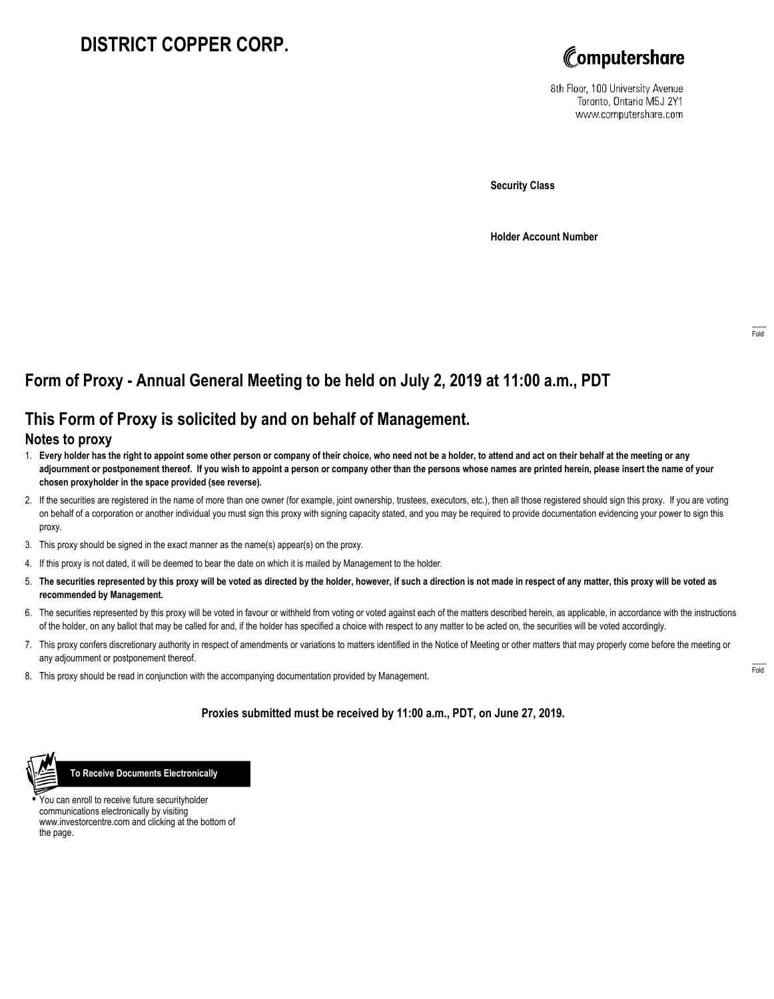## **DISTRICT COPPER CORP.**



8th Floor, 100 University Avenue Toronto, Ontario M5J 2Y1 www.computershare.com

**Security Class**

**Holder Account Number**

## **Form of Proxy - Annual General Meeting to be held on July 2, 2019 at 11:00 a.m., PDT**

## **This Form of Proxy is solicited by and on behalf of Management.**

## **Notes to proxy**

- 1. **Every holder has the right to appoint some other person or company of their choice, who need not be a holder, to attend and act on their behalf at the meeting or any adjournment or postponement thereof. If you wish to appoint a person or company other than the persons whose names are printed herein, please insert the name of your chosen proxyholder in the space provided (see reverse).**
- 2. If the securities are registered in the name of more than one owner (for example, joint ownership, trustees, executors, etc.), then all those registered should sign this proxy. If you are voting on behalf of a corporation or another individual you must sign this proxy with signing capacity stated, and you may be required to provide documentation evidencing your power to sign this proxy.
- 3. This proxy should be signed in the exact manner as the name(s) appear(s) on the proxy.
- 4. If this proxy is not dated, it will be deemed to bear the date on which it is mailed by Management to the holder.
- 5. **The securities represented by this proxy will be voted as directed by the holder, however, if such a direction is not made in respect of any matter, this proxy will be voted as recommended by Management.**
- 6. The securities represented by this proxy will be voted in favour or withheld from voting or voted against each of the matters described herein, as applicable, in accordance with the instructions of the holder, on any ballot that may be called for and, if the holder has specified a choice with respect to any matter to be acted on, the securities will be voted accordingly.
- 7. This proxy confers discretionary authority in respect of amendments or variations to matters identified in the Notice of Meeting or other matters that may properly come before the meeting or any adjournment or postponement thereof.
- 8. This proxy should be read in conjunction with the accompanying documentation provided by Management.

**Proxies submitted must be received by 11:00 a.m., PDT, on June 27, 2019.**



 **To Receive Documents Electronically**

**•** You can enroll to receive future securityholder communications electronically by visiting www.investorcentre.com and clicking at the bottom of the page.